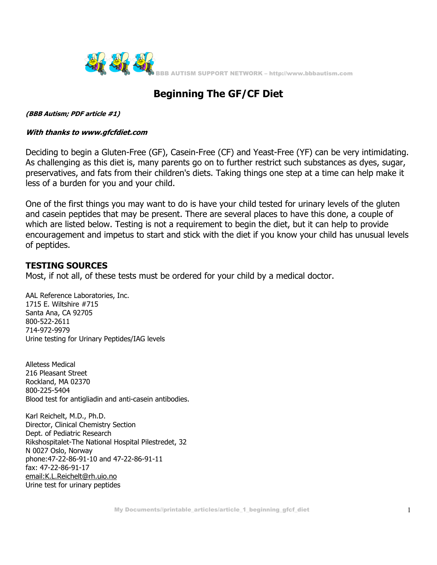

## **Beginning The GF/CF Diet**

**(BBB Autism; PDF article #1)** 

## **With thanks to www.gfcfdiet.com**

Deciding to begin a Gluten-Free (GF), Casein-Free (CF) and Yeast-Free (YF) can be very intimidating. As challenging as this diet is, many parents go on to further restrict such substances as dyes, sugar, preservatives, and fats from their children's diets. Taking things one step at a time can help make it less of a burden for you and your child.

One of the first things you may want to do is have your child tested for urinary levels of the gluten and casein peptides that may be present. There are several places to have this done, a couple of which are listed below. Testing is not a requirement to begin the diet, but it can help to provide encouragement and impetus to start and stick with the diet if you know your child has unusual levels of peptides.

## **TESTING SOURCES**

Most, if not all, of these tests must be ordered for your child by a medical doctor.

AAL Reference Laboratories, Inc. 1715 E. Wiltshire #715 Santa Ana, CA 92705 800-522-2611 714-972-9979 Urine testing for Urinary Peptides/IAG levels

Alletess Medical 216 Pleasant Street Rockland, MA 02370 800-225-5404 Blood test for antigliadin and anti-casein antibodies.

Karl Reichelt, M.D., Ph.D. Director, Clinical Chemistry Section Dept. of Pediatric Research Rikshospitalet-The National Hospital Pilestredet, 32 N 0027 Oslo, Norway phone:47-22-86-91-10 and 47-22-86-91-11 fax: 47-22-86-91-17 email:K.L.Reichelt@rh.uio.no Urine test for urinary peptides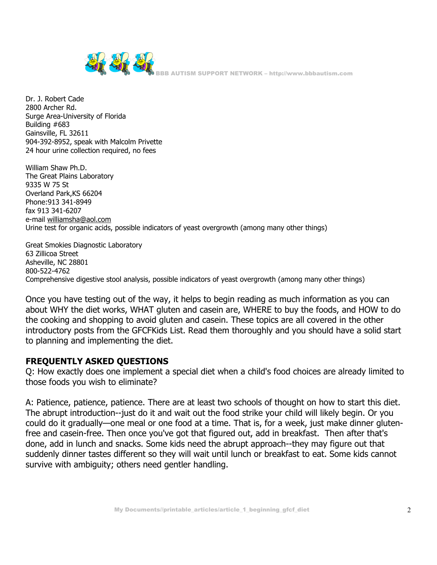

Dr. J. Robert Cade 2800 Archer Rd. Surge Area-University of Florida Building #683 Gainsville, FL 32611 904-392-8952, speak with Malcolm Privette 24 hour urine collection required, no fees

William Shaw Ph.D. The Great Plains Laboratory 9335 W 75 St Overland Park,KS 66204 Phone:913 341-8949 fax 913 341-6207 e-mail williamsha@aol.com Urine test for organic acids, possible indicators of yeast overgrowth (among many other things)

Great Smokies Diagnostic Laboratory 63 Zillicoa Street Asheville, NC 28801 800-522-4762 Comprehensive digestive stool analysis, possible indicators of yeast overgrowth (among many other things)

Once you have testing out of the way, it helps to begin reading as much information as you can about WHY the diet works, WHAT gluten and casein are, WHERE to buy the foods, and HOW to do the cooking and shopping to avoid gluten and casein. These topics are all covered in the other introductory posts from the GFCFKids List. Read them thoroughly and you should have a solid start to planning and implementing the diet.

## **FREQUENTLY ASKED QUESTIONS**

Q: How exactly does one implement a special diet when a child's food choices are already limited to those foods you wish to eliminate?

A: Patience, patience, patience. There are at least two schools of thought on how to start this diet. The abrupt introduction--just do it and wait out the food strike your child will likely begin. Or you could do it gradually—one meal or one food at a time. That is, for a week, just make dinner glutenfree and casein-free. Then once you've got that figured out, add in breakfast. Then after that's done, add in lunch and snacks. Some kids need the abrupt approach--they may figure out that suddenly dinner tastes different so they will wait until lunch or breakfast to eat. Some kids cannot survive with ambiguity; others need gentler handling.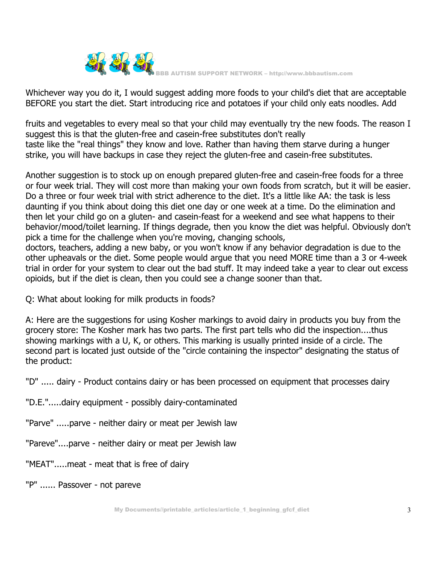

Whichever way you do it, I would suggest adding more foods to your child's diet that are acceptable BEFORE you start the diet. Start introducing rice and potatoes if your child only eats noodles. Add

fruits and vegetables to every meal so that your child may eventually try the new foods. The reason I suggest this is that the gluten-free and casein-free substitutes don't really taste like the "real things" they know and love. Rather than having them starve during a hunger strike, you will have backups in case they reject the gluten-free and casein-free substitutes.

Another suggestion is to stock up on enough prepared gluten-free and casein-free foods for a three or four week trial. They will cost more than making your own foods from scratch, but it will be easier. Do a three or four week trial with strict adherence to the diet. It's a little like AA: the task is less daunting if you think about doing this diet one day or one week at a time. Do the elimination and then let your child go on a gluten- and casein-feast for a weekend and see what happens to their behavior/mood/toilet learning. If things degrade, then you know the diet was helpful. Obviously don't pick a time for the challenge when you're moving, changing schools,

doctors, teachers, adding a new baby, or you won't know if any behavior degradation is due to the other upheavals or the diet. Some people would argue that you need MORE time than a 3 or 4-week trial in order for your system to clear out the bad stuff. It may indeed take a year to clear out excess opioids, but if the diet is clean, then you could see a change sooner than that.

Q: What about looking for milk products in foods?

A: Here are the suggestions for using Kosher markings to avoid dairy in products you buy from the grocery store: The Kosher mark has two parts. The first part tells who did the inspection....thus showing markings with a U, K, or others. This marking is usually printed inside of a circle. The second part is located just outside of the "circle containing the inspector" designating the status of the product:

"D" ..... dairy - Product contains dairy or has been processed on equipment that processes dairy

"D.E.".....dairy equipment - possibly dairy-contaminated

"Parve" .....parve - neither dairy or meat per Jewish law

"Pareve"....parve - neither dairy or meat per Jewish law

"MEAT".....meat - meat that is free of dairy

"P" ...... Passover - not pareve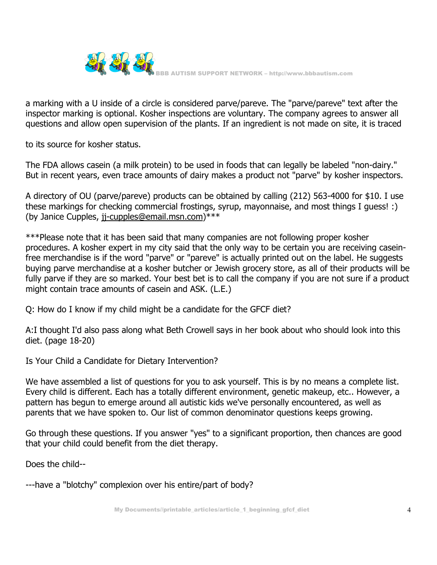

a marking with a U inside of a circle is considered parve/pareve. The "parve/pareve" text after the inspector marking is optional. Kosher inspections are voluntary. The company agrees to answer all questions and allow open supervision of the plants. If an ingredient is not made on site, it is traced

to its source for kosher status.

The FDA allows casein (a milk protein) to be used in foods that can legally be labeled "non-dairy." But in recent years, even trace amounts of dairy makes a product not "parve" by kosher inspectors.

A directory of OU (parve/pareve) products can be obtained by calling (212) 563-4000 for \$10. I use these markings for checking commercial frostings, syrup, mayonnaise, and most things I guess! :) (by Janice Cupples, jj-cupples@email.msn.com)\*\*\*

\*\*\*Please note that it has been said that many companies are not following proper kosher procedures. A kosher expert in my city said that the only way to be certain you are receiving caseinfree merchandise is if the word "parve" or "pareve" is actually printed out on the label. He suggests buying parve merchandise at a kosher butcher or Jewish grocery store, as all of their products will be fully parve if they are so marked. Your best bet is to call the company if you are not sure if a product might contain trace amounts of casein and ASK. (L.E.)

Q: How do I know if my child might be a candidate for the GFCF diet?

A:I thought I'd also pass along what Beth Crowell says in her book about who should look into this diet. (page 18-20)

Is Your Child a Candidate for Dietary Intervention?

We have assembled a list of questions for you to ask yourself. This is by no means a complete list. Every child is different. Each has a totally different environment, genetic makeup, etc.. However, a pattern has begun to emerge around all autistic kids we've personally encountered, as well as parents that we have spoken to. Our list of common denominator questions keeps growing.

Go through these questions. If you answer "yes" to a significant proportion, then chances are good that your child could benefit from the diet therapy.

Does the child--

---have a "blotchy" complexion over his entire/part of body?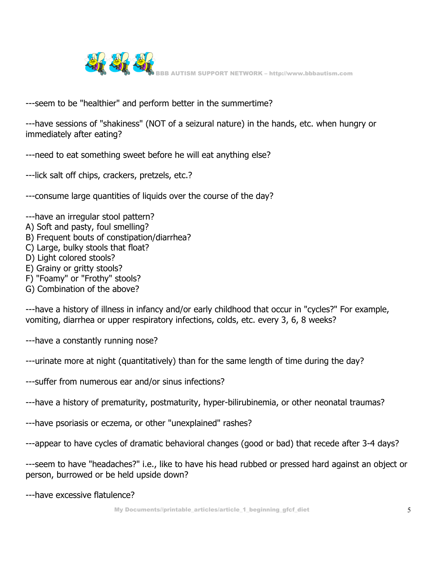

---seem to be "healthier" and perform better in the summertime?

---have sessions of "shakiness" (NOT of a seizural nature) in the hands, etc. when hungry or immediately after eating?

- ---need to eat something sweet before he will eat anything else?
- ---lick salt off chips, crackers, pretzels, etc.?
- ---consume large quantities of liquids over the course of the day?
- ---have an irregular stool pattern?
- A) Soft and pasty, foul smelling?
- B) Frequent bouts of constipation/diarrhea?
- C) Large, bulky stools that float?
- D) Light colored stools?
- E) Grainy or gritty stools?
- F) "Foamy" or "Frothy" stools?
- G) Combination of the above?

---have a history of illness in infancy and/or early childhood that occur in "cycles?" For example, vomiting, diarrhea or upper respiratory infections, colds, etc. every 3, 6, 8 weeks?

- ---have a constantly running nose?
- ---urinate more at night (quantitatively) than for the same length of time during the day?
- ---suffer from numerous ear and/or sinus infections?
- ---have a history of prematurity, postmaturity, hyper-bilirubinemia, or other neonatal traumas?
- ---have psoriasis or eczema, or other "unexplained" rashes?
- ---appear to have cycles of dramatic behavioral changes (good or bad) that recede after 3-4 days?
- ---seem to have "headaches?" i.e., like to have his head rubbed or pressed hard against an object or person, burrowed or be held upside down?
- ---have excessive flatulence?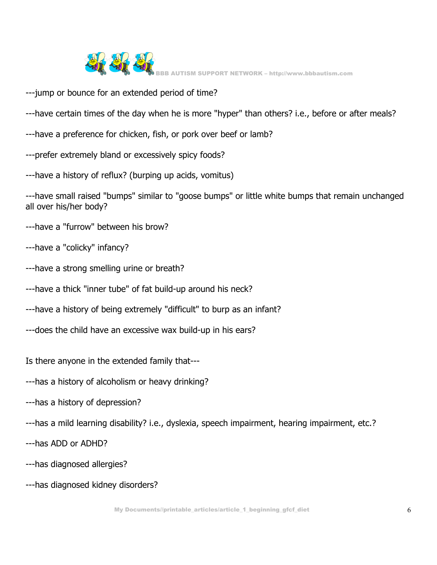

- ---jump or bounce for an extended period of time?
- ---have certain times of the day when he is more "hyper" than others? i.e., before or after meals?
- ---have a preference for chicken, fish, or pork over beef or lamb?
- ---prefer extremely bland or excessively spicy foods?
- ---have a history of reflux? (burping up acids, vomitus)

---have small raised "bumps" similar to "goose bumps" or little white bumps that remain unchanged all over his/her body?

- ---have a "furrow" between his brow?
- ---have a "colicky" infancy?
- ---have a strong smelling urine or breath?
- ---have a thick "inner tube" of fat build-up around his neck?
- ---have a history of being extremely "difficult" to burp as an infant?
- ---does the child have an excessive wax build-up in his ears?

Is there anyone in the extended family that---

- ---has a history of alcoholism or heavy drinking?
- ---has a history of depression?
- ---has a mild learning disability? i.e., dyslexia, speech impairment, hearing impairment, etc.?
- ---has ADD or ADHD?
- ---has diagnosed allergies?
- ---has diagnosed kidney disorders?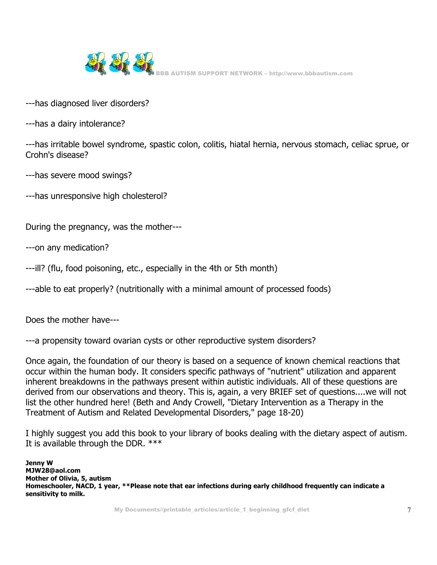

- ---has diagnosed liver disorders?
- ---has a dairy intolerance?

---has irritable bowel syndrome, spastic colon, colitis, hiatal hernia, nervous stomach, celiac sprue, or Crohn's disease?

- ---has severe mood swings?
- ---has unresponsive high cholesterol?

During the pregnancy, was the mother---

---on any medication?

---ill? (flu, food poisoning, etc., especially in the 4th or 5th month)

---able to eat properly? (nutritionally with a minimal amount of processed foods)

Does the mother have---

---a propensity toward ovarian cysts or other reproductive system disorders?

Once again, the foundation of our theory is based on a sequence of known chemical reactions that occur within the human body. It considers specific pathways of "nutrient" utilization and apparent inherent breakdowns in the pathways present within autistic individuals. All of these questions are derived from our observations and theory. This is, again, a very BRIEF set of questions....we will not list the other hundred here! (Beth and Andy Crowell, "Dietary Intervention as a Therapy in the Treatment of Autism and Related Developmental Disorders," page 18-20)

I highly suggest you add this book to your library of books dealing with the dietary aspect of autism. It is available through the DDR. \*\*\*

**Jenny W MJW28@aol.com Mother of Olivia, 5, autism Homeschooler, NACD, 1 year, \*\*Please note that ear infections during early childhood frequently can indicate a sensitivity to milk.**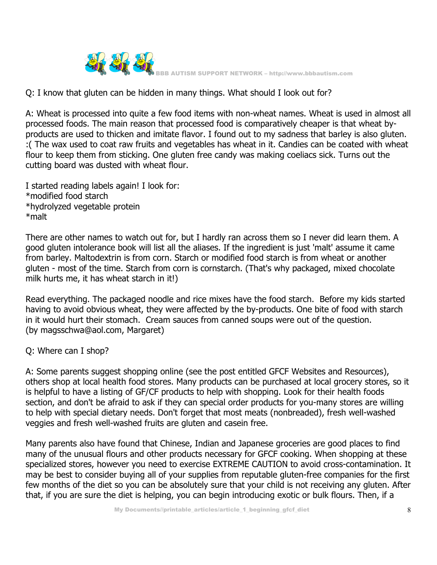

Q: I know that gluten can be hidden in many things. What should I look out for?

A: Wheat is processed into quite a few food items with non-wheat names. Wheat is used in almost all processed foods. The main reason that processed food is comparatively cheaper is that wheat byproducts are used to thicken and imitate flavor. I found out to my sadness that barley is also gluten. :( The wax used to coat raw fruits and vegetables has wheat in it. Candies can be coated with wheat flour to keep them from sticking. One gluten free candy was making coeliacs sick. Turns out the cutting board was dusted with wheat flour.

I started reading labels again! I look for: \*modified food starch \*hydrolyzed vegetable protein \*malt

There are other names to watch out for, but I hardly ran across them so I never did learn them. A good gluten intolerance book will list all the aliases. If the ingredient is just 'malt' assume it came from barley. Maltodextrin is from corn. Starch or modified food starch is from wheat or another gluten - most of the time. Starch from corn is cornstarch. (That's why packaged, mixed chocolate milk hurts me, it has wheat starch in it!)

Read everything. The packaged noodle and rice mixes have the food starch. Before my kids started having to avoid obvious wheat, they were affected by the by-products. One bite of food with starch in it would hurt their stomach. Cream sauces from canned soups were out of the question. (by magsschwa@aol.com, Margaret)

Q: Where can I shop?

A: Some parents suggest shopping online (see the post entitled GFCF Websites and Resources), others shop at local health food stores. Many products can be purchased at local grocery stores, so it is helpful to have a listing of GF/CF products to help with shopping. Look for their health foods section, and don't be afraid to ask if they can special order products for you-many stores are willing to help with special dietary needs. Don't forget that most meats (nonbreaded), fresh well-washed veggies and fresh well-washed fruits are gluten and casein free.

Many parents also have found that Chinese, Indian and Japanese groceries are good places to find many of the unusual flours and other products necessary for GFCF cooking. When shopping at these specialized stores, however you need to exercise EXTREME CAUTION to avoid cross-contamination. It may be best to consider buying all of your supplies from reputable gluten-free companies for the first few months of the diet so you can be absolutely sure that your child is not receiving any gluten. After that, if you are sure the diet is helping, you can begin introducing exotic or bulk flours. Then, if a